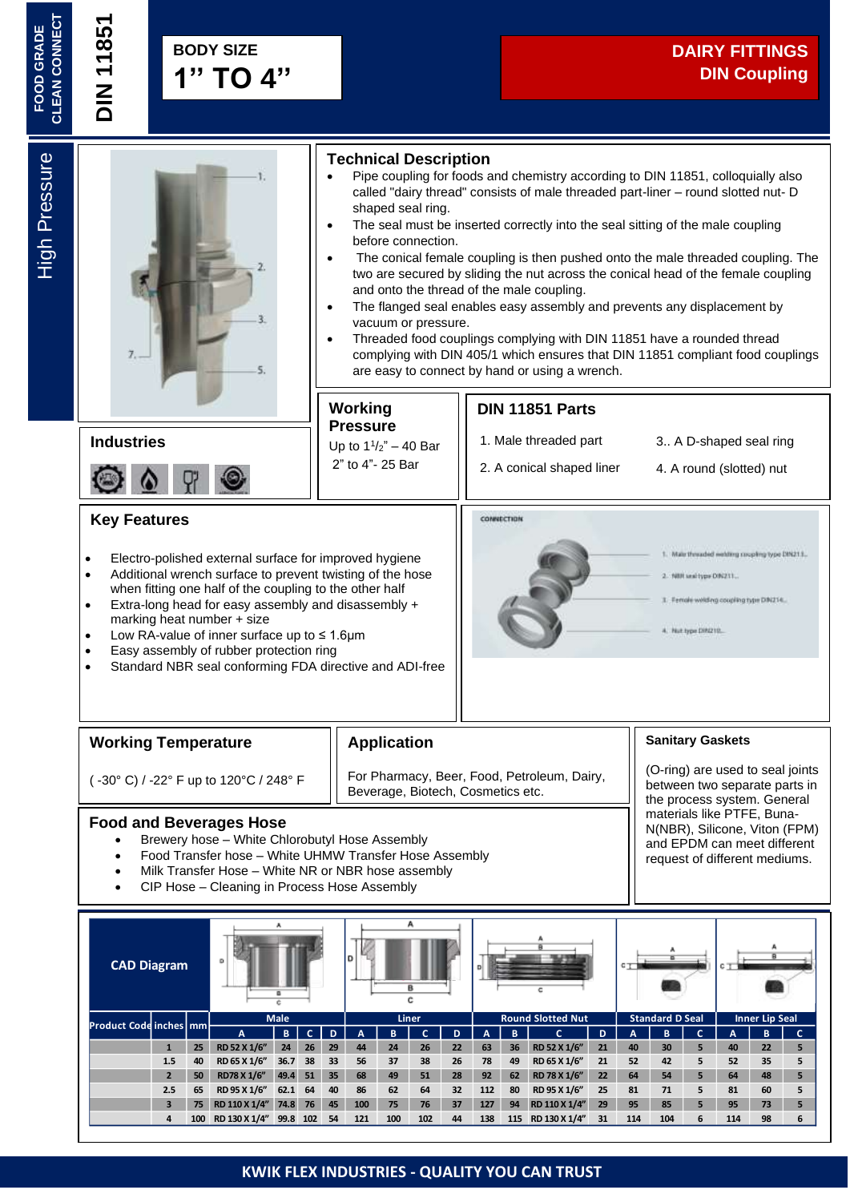

- Additional wrench surface to prevent twisting of the hose when fitting one half of the coupling to the other half • Extra-long head for easy assembly and disassembly +
- marking heat number + size
- Low RA-value of inner surface up to ≤ 1.6μm
- Easy assembly of rubber protection ring
- Standard NBR seal conforming FDA directive and ADI-free
- NBR sealtype DIN211. ile welding coupling type DNZ14. 4. Not bow DR210.

#### **Working Temperature**

#### **Application**

( -30° C) / -22° F up to 120°C / 248° F For Pharmacy, Beer, Food, Petroleum, Dairy, Beverage, Biotech, Cosmetics etc.

#### **Food and Beverages Hose**

- Brewery hose White Chlorobutyl Hose Assembly
- Food Transfer hose White UHMW Transfer Hose Assembly
- Milk Transfer Hose White NR or NBR hose assembly
- CIP Hose Cleaning in Process Hose Assembly

**Sanitary Gaskets**

(O-ring) are used to seal joints between two separate parts in the process system. General materials like PTFE, Buna-N(NBR), Silicone, Viton (FPM) and EPDM can meet different request of different mediums.

**A B C D A B C D A B C D A B C A B C 1 25 RD 52 X 1/6" 24 26 29 44 24 26 22 63 36 RD 52 X 1/6" 21 40 30 5 40 22 5 1.5 40 RD 65 X 1/6" 36.7 38 33 56 37 38 26 78 49 RD 65 X 1/6" 21 52 42 5 52 35 5 2 50 RD78 X 1/6" 49.4 51 35 68 49 51 28 92 62 RD 78 X 1/6" 22 64 54 5 64 48 5 2.5 65 RD 95 X 1/6" 62.1 64 40 86 62 64 32 112 80 RD 95 X 1/6" 25 81 71 5 81 60 5 3 75 RD 110 X 1/4" 74.8 76 45 100 75 76 37 127 94 RD 110 X 1/4" 29 95 85 5 95 73 5** 4 100 RD 130 X 1/4" 99.8 102 54 121 100 102 44 138 115 RD 130 X 1/4" 31 114 104 6 114 98 6 **CAD Diagram Product Code inches mm Male Liner Round Slotted Nut Standard D Seal Inner Lip Seal**

# **KWIK FLEX INDUSTRIES - QUALITY YOU CAN TRUST**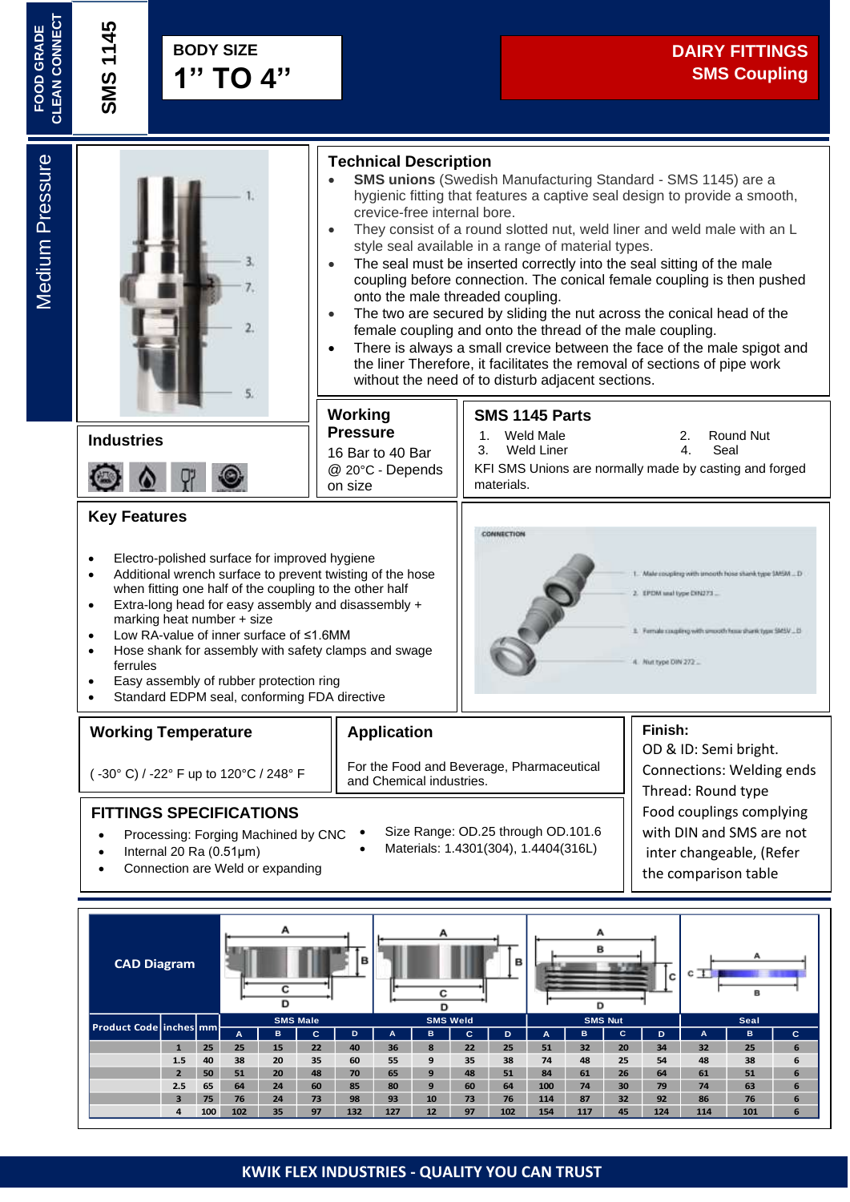**FOOD GRADE<br>CLEAN CONNECT CLEAN CONNECT**

**Medium Pressure** 



#### **FITTINGS SPECIFICATIONS**

- Processing: Forging Machined by CNC
- Internal 20 Ra (0.51μm)
- Connection are Weld or expanding

Food couplings complying with DIN and SMS are not inter changeable, (Refer the comparison table

below)

B **CAD Diagram**  $\overline{c}$  $\overline{\mathbf{c}}$ D ᇹ D **SMS Male SMS Weld SMS Nut Seal Product Code inches mm A B C D A B C D A B C D A B C 1 25 25 15 22 40 36 8 22 25 51 32 20 34 32 25 6 1.5 40 38 20 35 60 55 9 35 38 74 48 25 54 48 38 6 2 50 51 20 48 70 65 9 48 51 84 61 26 64 61 51 6 2.5 65 64 24 60 85 80 9 60 64 100 74 30 79 74 63 6 3 75 76 24 73 98 93 10 73 76 114 87 32 92 86 76 6 4 100 102 35 97 132 127 12 97 102 154 117 45 124 114 101 6**

• Size Range: OD.25 through OD.101.6 • Materials: 1.4301(304), 1.4404(316L)

#### **KWIK FLEX INDUSTRIES - QUALITY YOU CAN TRUST**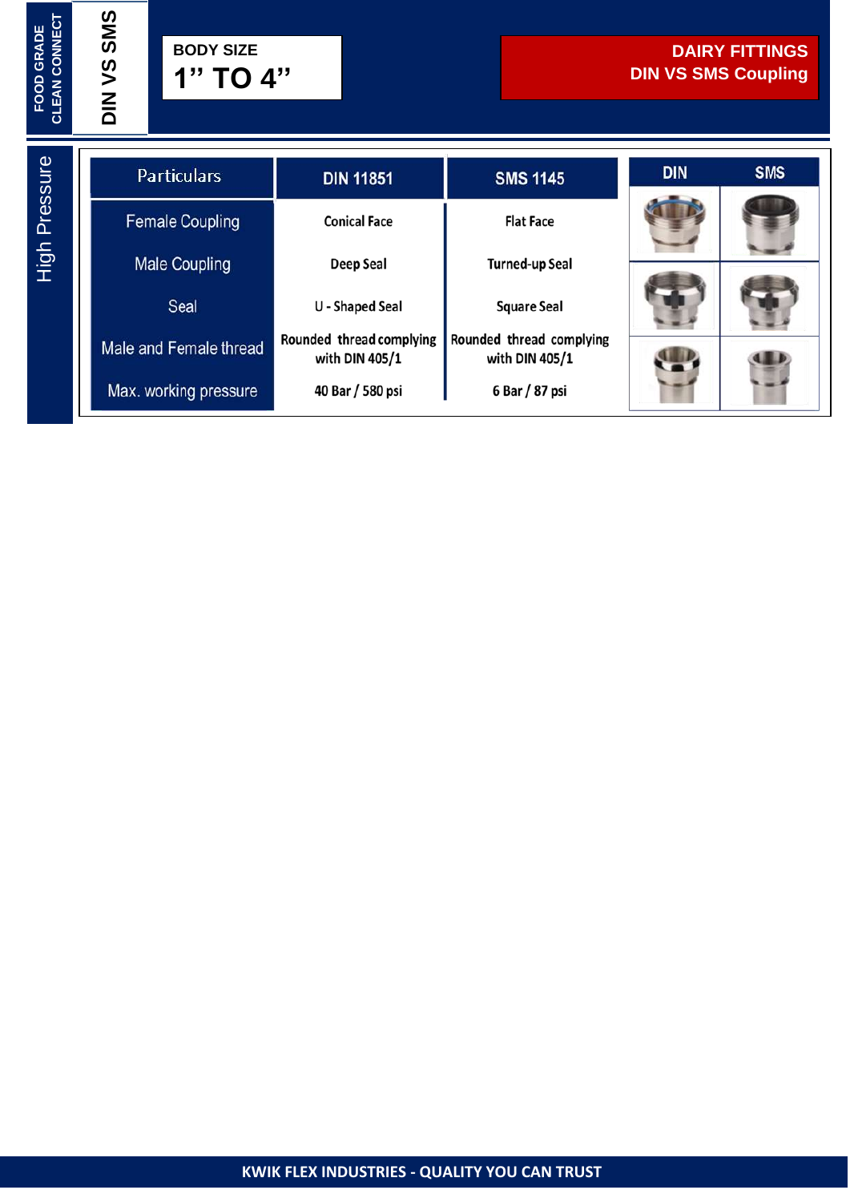**FOOD GRADE<br>CLEAN CONNECT CLEAN CONNECT** **DIN VS SMS**

| <b>Particulars</b>     | <b>DIN 11851</b>                           | <b>SMS 1145</b>                            | <b>DIN</b> | <b>SMS</b> |  |
|------------------------|--------------------------------------------|--------------------------------------------|------------|------------|--|
| <b>Female Coupling</b> | <b>Conical Face</b>                        | <b>Flat Face</b>                           |            |            |  |
| <b>Male Coupling</b>   | Deep Seal                                  | <b>Turned-up Seal</b>                      |            |            |  |
| Seal                   | U - Shaped Seal                            | <b>Square Seal</b>                         |            |            |  |
| Male and Female thread | Rounded thread complying<br>with DIN 405/1 | Rounded thread complying<br>with DIN 405/1 |            |            |  |
| Max. working pressure  | 40 Bar / 580 psi                           | 6 Bar / 87 psi                             |            |            |  |